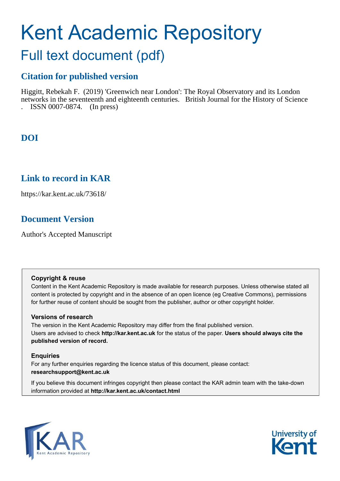# Kent Academic Repository

## Full text document (pdf)

## **Citation for published version**

Higgitt, Rebekah F. (2019) 'Greenwich near London': The Royal Observatory and its London networks in the seventeenth and eighteenth centuries. British Journal for the History of Science . ISSN 0007-0874. (In press)

## **DOI**

## **Link to record in KAR**

https://kar.kent.ac.uk/73618/

## **Document Version**

Author's Accepted Manuscript

## **Copyright & reuse**

Content in the Kent Academic Repository is made available for research purposes. Unless otherwise stated all content is protected by copyright and in the absence of an open licence (eg Creative Commons), permissions for further reuse of content should be sought from the publisher, author or other copyright holder.

## **Versions of research**

The version in the Kent Academic Repository may differ from the final published version. Users are advised to check **http://kar.kent.ac.uk** for the status of the paper. **Users should always cite the published version of record.**

## **Enquiries**

For any further enquiries regarding the licence status of this document, please contact: **researchsupport@kent.ac.uk**

If you believe this document infringes copyright then please contact the KAR admin team with the take-down information provided at **http://kar.kent.ac.uk/contact.html**



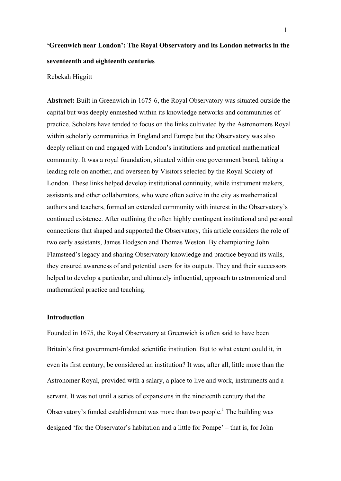## **'Greenwich near London': The Royal Observatory and its London networks in the seventeenth and eighteenth centuries**

#### Rebekah Higgitt

**Abstract:** Built in Greenwich in 1675-6, the Royal Observatory was situated outside the capital but was deeply enmeshed within its knowledge networks and communities of practice. Scholars have tended to focus on the links cultivated by the Astronomers Royal within scholarly communities in England and Europe but the Observatory was also deeply reliant on and engaged with London's institutions and practical mathematical community. It was a royal foundation, situated within one government board, taking a leading role on another, and overseen by Visitors selected by the Royal Society of London. These links helped develop institutional continuity, while instrument makers, assistants and other collaborators, who were often active in the city as mathematical authors and teachers, formed an extended community with interest in the Observatory's continued existence. After outlining the often highly contingent institutional and personal connections that shaped and supported the Observatory, this article considers the role of two early assistants, James Hodgson and Thomas Weston. By championing John Flamsteed's legacy and sharing Observatory knowledge and practice beyond its walls, they ensured awareness of and potential users for its outputs. They and their successors helped to develop a particular, and ultimately influential, approach to astronomical and mathematical practice and teaching.

#### **Introduction**

Founded in 1675, the Royal Observatory at Greenwich is often said to have been Britain's first government-funded scientific institution. But to what extent could it, in even its first century, be considered an institution? It was, after all, little more than the Astronomer Royal, provided with a salary, a place to live and work, instruments and a servant. It was not until a series of expansions in the nineteenth century that the Observatory's funded establishment was more than two people.<sup>1</sup> The building was designed 'for the Observator's habitation and a little for Pompe' – that is, for John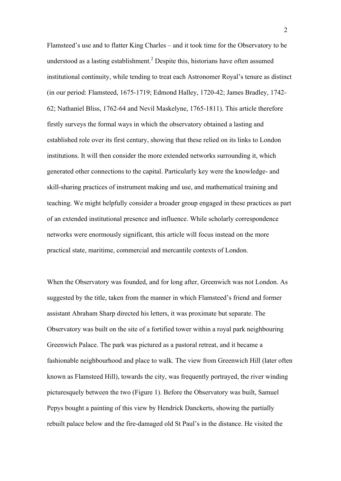Flamsteed's use and to flatter King Charles – and it took time for the Observatory to be understood as a lasting establishment. <sup>2</sup> Despite this, historians have often assumed institutional continuity, while tending to treat each Astronomer Royal's tenure as distinct (in our period: Flamsteed, 1675-1719; Edmond Halley, 1720-42; James Bradley, 1742- 62; Nathaniel Bliss, 1762-64 and Nevil Maskelyne, 1765-1811). This article therefore firstly surveys the formal ways in which the observatory obtained a lasting and established role over its first century, showing that these relied on its links to London institutions. It will then consider the more extended networks surrounding it, which generated other connections to the capital. Particularly key were the knowledge- and skill-sharing practices of instrument making and use, and mathematical training and teaching. We might helpfully consider a broader group engaged in these practices as part of an extended institutional presence and influence. While scholarly correspondence networks were enormously significant, this article will focus instead on the more practical state, maritime, commercial and mercantile contexts of London.

When the Observatory was founded, and for long after, Greenwich was not London. As suggested by the title, taken from the manner in which Flamsteed's friend and former assistant Abraham Sharp directed his letters, it was proximate but separate. The Observatory was built on the site of a fortified tower within a royal park neighbouring Greenwich Palace. The park was pictured as a pastoral retreat, and it became a fashionable neighbourhood and place to walk. The view from Greenwich Hill (later often known as Flamsteed Hill), towards the city, was frequently portrayed, the river winding picturesquely between the two (Figure 1). Before the Observatory was built, Samuel Pepys bought a painting of this view by Hendrick Danckerts, showing the partially rebuilt palace below and the fire-damaged old St Paul's in the distance. He visited the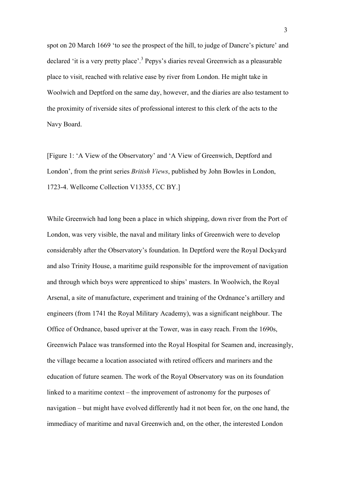spot on 20 March 1669 'to see the prospect of the hill, to judge of Dancre's picture' and declared 'it is a very pretty place'.<sup>3</sup> Pepys's diaries reveal Greenwich as a pleasurable place to visit, reached with relative ease by river from London. He might take in Woolwich and Deptford on the same day, however, and the diaries are also testament to the proximity of riverside sites of professional interest to this clerk of the acts to the Navy Board.

[Figure 1: 'A View of the Observatory' and 'A View of Greenwich, Deptford and London', from the print series *British Views*, published by John Bowles in London, 1723-4. Wellcome Collection V13355, CC BY.]

While Greenwich had long been a place in which shipping, down river from the Port of London, was very visible, the naval and military links of Greenwich were to develop considerably after the Observatory's foundation. In Deptford were the Royal Dockyard and also Trinity House, a maritime guild responsible for the improvement of navigation and through which boys were apprenticed to ships' masters. In Woolwich, the Royal Arsenal, a site of manufacture, experiment and training of the Ordnance's artillery and engineers (from 1741 the Royal Military Academy), was a significant neighbour. The Office of Ordnance, based upriver at the Tower, was in easy reach. From the 1690s, Greenwich Palace was transformed into the Royal Hospital for Seamen and, increasingly, the village became a location associated with retired officers and mariners and the education of future seamen. The work of the Royal Observatory was on its foundation linked to a maritime context – the improvement of astronomy for the purposes of navigation – but might have evolved differently had it not been for, on the one hand, the immediacy of maritime and naval Greenwich and, on the other, the interested London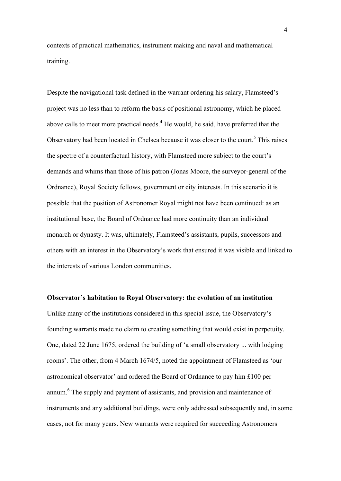contexts of practical mathematics, instrument making and naval and mathematical training.

Despite the navigational task defined in the warrant ordering his salary, Flamsteed's project was no less than to reform the basis of positional astronomy, which he placed above calls to meet more practical needs.<sup>4</sup> He would, he said, have preferred that the Observatory had been located in Chelsea because it was closer to the court.<sup>5</sup> This raises the spectre of a counterfactual history, with Flamsteed more subject to the court's demands and whims than those of his patron (Jonas Moore, the surveyor-general of the Ordnance), Royal Society fellows, government or city interests. In this scenario it is possible that the position of Astronomer Royal might not have been continued: as an institutional base, the Board of Ordnance had more continuity than an individual monarch or dynasty. It was, ultimately, Flamsteed's assistants, pupils, successors and others with an interest in the Observatory's work that ensured it was visible and linked to the interests of various London communities.

### **Observator's habitation to Royal Observatory: the evolution of an institution**

Unlike many of the institutions considered in this special issue, the Observatory's founding warrants made no claim to creating something that would exist in perpetuity. One, dated 22 June 1675, ordered the building of 'a small observatory ... with lodging rooms'. The other, from 4 March 1674/5, noted the appointment of Flamsteed as 'our astronomical observator' and ordered the Board of Ordnance to pay him £100 per annum.<sup>6</sup> The supply and payment of assistants, and provision and maintenance of instruments and any additional buildings, were only addressed subsequently and, in some cases, not for many years. New warrants were required for succeeding Astronomers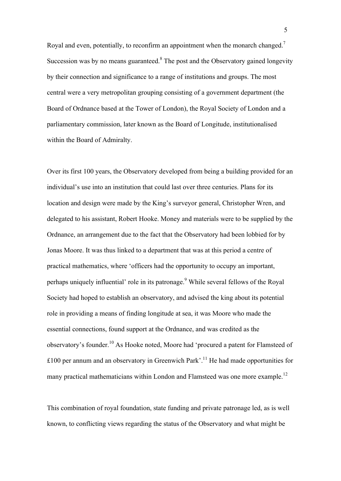Royal and even, potentially, to reconfirm an appointment when the monarch changed.<sup>7</sup> Succession was by no means guaranteed. $8$  The post and the Observatory gained longevity by their connection and significance to a range of institutions and groups. The most central were a very metropolitan grouping consisting of a government department (the Board of Ordnance based at the Tower of London), the Royal Society of London and a parliamentary commission, later known as the Board of Longitude, institutionalised within the Board of Admiralty.

Over its first 100 years, the Observatory developed from being a building provided for an individual's use into an institution that could last over three centuries. Plans for its location and design were made by the King's surveyor general, Christopher Wren, and delegated to his assistant, Robert Hooke. Money and materials were to be supplied by the Ordnance, an arrangement due to the fact that the Observatory had been lobbied for by Jonas Moore. It was thus linked to a department that was at this period a centre of practical mathematics, where 'officers had the opportunity to occupy an important, perhaps uniquely influential' role in its patronage.<sup>9</sup> While several fellows of the Royal Society had hoped to establish an observatory, and advised the king about its potential role in providing a means of finding longitude at sea, it was Moore who made the essential connections, found support at the Ordnance, and was credited as the observatory's founder.<sup>10</sup> As Hooke noted, Moore had 'procured a patent for Flamsteed of £100 per annum and an observatory in Greenwich Park'.<sup>11</sup> He had made opportunities for many practical mathematicians within London and Flamsteed was one more example.<sup>12</sup>

This combination of royal foundation, state funding and private patronage led, as is well known, to conflicting views regarding the status of the Observatory and what might be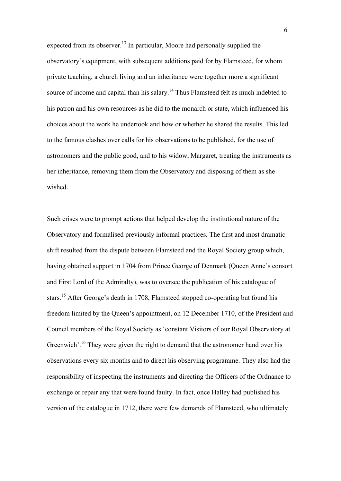expected from its observer.<sup>13</sup> In particular, Moore had personally supplied the observatory's equipment, with subsequent additions paid for by Flamsteed, for whom private teaching, a church living and an inheritance were together more a significant source of income and capital than his salary.<sup>14</sup> Thus Flamsteed felt as much indebted to his patron and his own resources as he did to the monarch or state, which influenced his choices about the work he undertook and how or whether he shared the results. This led to the famous clashes over calls for his observations to be published, for the use of astronomers and the public good, and to his widow, Margaret, treating the instruments as her inheritance, removing them from the Observatory and disposing of them as she wished.

Such crises were to prompt actions that helped develop the institutional nature of the Observatory and formalised previously informal practices. The first and most dramatic shift resulted from the dispute between Flamsteed and the Royal Society group which, having obtained support in 1704 from Prince George of Denmark (Queen Anne's consort and First Lord of the Admiralty), was to oversee the publication of his catalogue of stars.<sup>15</sup> After George's death in 1708, Flamsteed stopped co-operating but found his freedom limited by the Queen's appointment, on 12 December 1710, of the President and Council members of the Royal Society as 'constant Visitors of our Royal Observatory at Greenwich'.<sup>16</sup> They were given the right to demand that the astronomer hand over his observations every six months and to direct his observing programme. They also had the responsibility of inspecting the instruments and directing the Officers of the Ordnance to exchange or repair any that were found faulty. In fact, once Halley had published his version of the catalogue in 1712, there were few demands of Flamsteed, who ultimately

6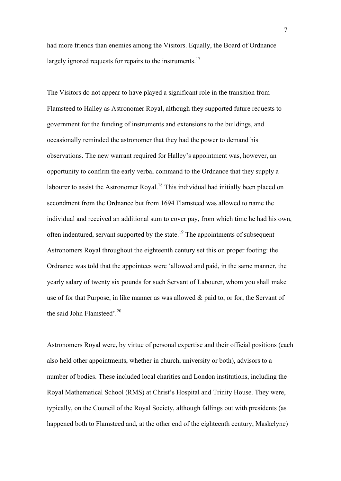had more friends than enemies among the Visitors. Equally, the Board of Ordnance largely ignored requests for repairs to the instruments.<sup>17</sup>

The Visitors do not appear to have played a significant role in the transition from Flamsteed to Halley as Astronomer Royal, although they supported future requests to government for the funding of instruments and extensions to the buildings, and occasionally reminded the astronomer that they had the power to demand his observations. The new warrant required for Halley's appointment was, however, an opportunity to confirm the early verbal command to the Ordnance that they supply a labourer to assist the Astronomer Royal.<sup>18</sup> This individual had initially been placed on secondment from the Ordnance but from 1694 Flamsteed was allowed to name the individual and received an additional sum to cover pay, from which time he had his own, often indentured, servant supported by the state.<sup>19</sup> The appointments of subsequent Astronomers Royal throughout the eighteenth century set this on proper footing: the Ordnance was told that the appointees were 'allowed and paid, in the same manner, the yearly salary of twenty six pounds for such Servant of Labourer, whom you shall make use of for that Purpose, in like manner as was allowed & paid to, or for, the Servant of the said John Flamsteed'.<sup>20</sup>

Astronomers Royal were, by virtue of personal expertise and their official positions (each also held other appointments, whether in church, university or both), advisors to a number of bodies. These included local charities and London institutions, including the Royal Mathematical School (RMS) at Christ's Hospital and Trinity House. They were, typically, on the Council of the Royal Society, although fallings out with presidents (as happened both to Flamsteed and, at the other end of the eighteenth century, Maskelyne)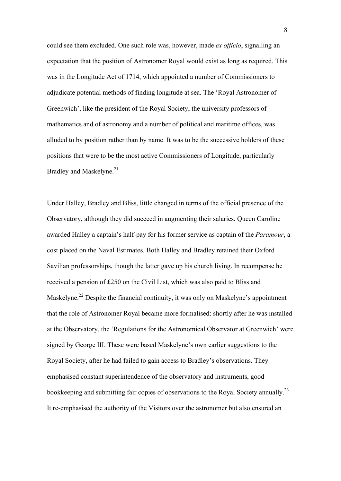could see them excluded. One such role was, however, made *ex officio*, signalling an expectation that the position of Astronomer Royal would exist as long as required. This was in the Longitude Act of 1714, which appointed a number of Commissioners to adjudicate potential methods of finding longitude at sea. The 'Royal Astronomer of Greenwich', like the president of the Royal Society, the university professors of mathematics and of astronomy and a number of political and maritime offices, was alluded to by position rather than by name. It was to be the successive holders of these positions that were to be the most active Commissioners of Longitude, particularly Bradley and Maskelyne.<sup>21</sup>

Under Halley, Bradley and Bliss, little changed in terms of the official presence of the Observatory, although they did succeed in augmenting their salaries. Queen Caroline awarded Halley a captain's half-pay for his former service as captain of the *Paramour*, a cost placed on the Naval Estimates. Both Halley and Bradley retained their Oxford Savilian professorships, though the latter gave up his church living. In recompense he received a pension of £250 on the Civil List, which was also paid to Bliss and Maskelyne.<sup>22</sup> Despite the financial continuity, it was only on Maskelyne's appointment that the role of Astronomer Royal became more formalised: shortly after he was installed at the Observatory, the 'Regulations for the Astronomical Observator at Greenwich' were signed by George III. These were based Maskelyne's own earlier suggestions to the Royal Society, after he had failed to gain access to Bradley's observations. They emphasised constant superintendence of the observatory and instruments, good bookkeeping and submitting fair copies of observations to the Royal Society annually.<sup>23</sup> It re-emphasised the authority of the Visitors over the astronomer but also ensured an

8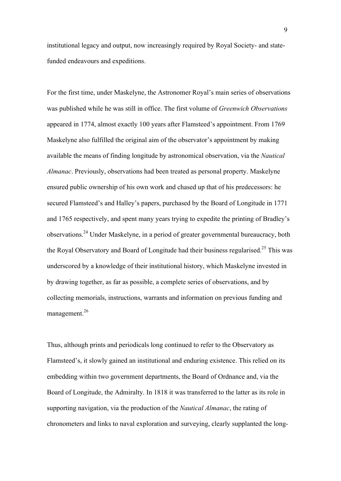institutional legacy and output, now increasingly required by Royal Society- and statefunded endeavours and expeditions.

For the first time, under Maskelyne, the Astronomer Royal's main series of observations was published while he was still in office. The first volume of *Greenwich Observations* appeared in 1774, almost exactly 100 years after Flamsteed's appointment. From 1769 Maskelyne also fulfilled the original aim of the observator's appointment by making available the means of finding longitude by astronomical observation, via the *Nautical Almanac*. Previously, observations had been treated as personal property. Maskelyne ensured public ownership of his own work and chased up that of his predecessors: he secured Flamsteed's and Halley's papers, purchased by the Board of Longitude in 1771 and 1765 respectively, and spent many years trying to expedite the printing of Bradley's observations.<sup>24</sup> Under Maskelyne, in a period of greater governmental bureaucracy, both the Royal Observatory and Board of Longitude had their business regularised.<sup>25</sup> This was underscored by a knowledge of their institutional history, which Maskelyne invested in by drawing together, as far as possible, a complete series of observations, and by collecting memorials, instructions, warrants and information on previous funding and management.<sup>26</sup>

Thus, although prints and periodicals long continued to refer to the Observatory as Flamsteed's, it slowly gained an institutional and enduring existence. This relied on its embedding within two government departments, the Board of Ordnance and, via the Board of Longitude, the Admiralty. In 1818 it was transferred to the latter as its role in supporting navigation, via the production of the *Nautical Almanac*, the rating of chronometers and links to naval exploration and surveying, clearly supplanted the long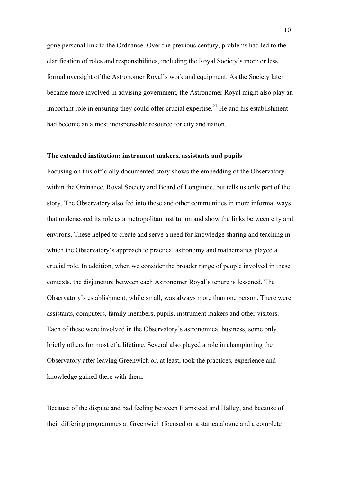gone personal link to the Ordnance. Over the previous century, problems had led to the clarification of roles and responsibilities, including the Royal Society's more or less formal oversight of the Astronomer Royal's work and equipment. As the Society later became more involved in advising government, the Astronomer Royal might also play an important role in ensuring they could offer crucial expertise.<sup>27</sup> He and his establishment had become an almost indispensable resource for city and nation.

#### **The extended institution: instrument makers, assistants and pupils**

Focusing on this officially documented story shows the embedding of the Observatory within the Ordnance, Royal Society and Board of Longitude, but tells us only part of the story. The Observatory also fed into these and other communities in more informal ways that underscored its role as a metropolitan institution and show the links between city and environs. These helped to create and serve a need for knowledge sharing and teaching in which the Observatory's approach to practical astronomy and mathematics played a crucial role. In addition, when we consider the broader range of people involved in these contexts, the disjuncture between each Astronomer Royal's tenure is lessened. The Observatory's establishment, while small, was always more than one person. There were assistants, computers, family members, pupils, instrument makers and other visitors. Each of these were involved in the Observatory's astronomical business, some only briefly others for most of a lifetime. Several also played a role in championing the Observatory after leaving Greenwich or, at least, took the practices, experience and knowledge gained there with them.

Because of the dispute and bad feeling between Flamsteed and Halley, and because of their differing programmes at Greenwich (focused on a star catalogue and a complete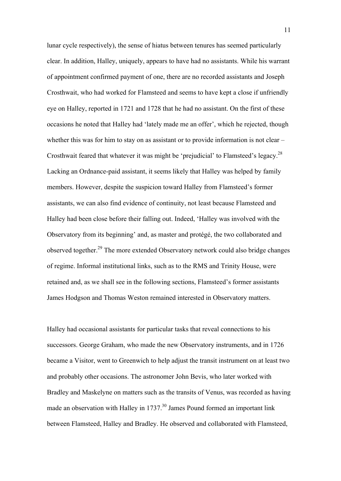lunar cycle respectively), the sense of hiatus between tenures has seemed particularly clear. In addition, Halley, uniquely, appears to have had no assistants. While his warrant of appointment confirmed payment of one, there are no recorded assistants and Joseph Crosthwait, who had worked for Flamsteed and seems to have kept a close if unfriendly eye on Halley, reported in 1721 and 1728 that he had no assistant. On the first of these occasions he noted that Halley had 'lately made me an offer', which he rejected, though whether this was for him to stay on as assistant or to provide information is not clear – Crosthwait feared that whatever it was might be 'prejudicial' to Flamsteed's legacy.<sup>28</sup> Lacking an Ordnance-paid assistant, it seems likely that Halley was helped by family members. However, despite the suspicion toward Halley from Flamsteed's former assistants, we can also find evidence of continuity, not least because Flamsteed and Halley had been close before their falling out. Indeed, 'Halley was involved with the Observatory from its beginning' and, as master and protégé, the two collaborated and observed together.<sup>29</sup> The more extended Observatory network could also bridge changes of regime. Informal institutional links, such as to the RMS and Trinity House, were retained and, as we shall see in the following sections, Flamsteed's former assistants James Hodgson and Thomas Weston remained interested in Observatory matters.

Halley had occasional assistants for particular tasks that reveal connections to his successors. George Graham, who made the new Observatory instruments, and in 1726 became a Visitor, went to Greenwich to help adjust the transit instrument on at least two and probably other occasions. The astronomer John Bevis, who later worked with Bradley and Maskelyne on matters such as the transits of Venus, was recorded as having made an observation with Halley in  $1737<sup>30</sup>$  James Pound formed an important link between Flamsteed, Halley and Bradley. He observed and collaborated with Flamsteed,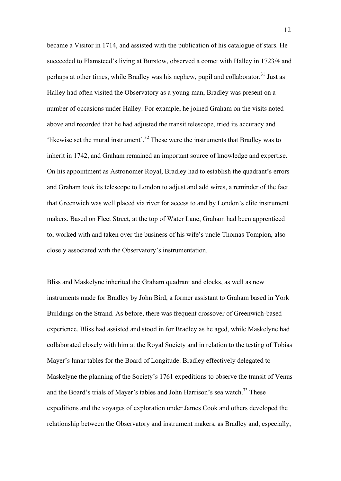became a Visitor in 1714, and assisted with the publication of his catalogue of stars. He succeeded to Flamsteed's living at Burstow, observed a comet with Halley in 1723/4 and perhaps at other times, while Bradley was his nephew, pupil and collaborator.<sup>31</sup> Just as Halley had often visited the Observatory as a young man, Bradley was present on a number of occasions under Halley. For example, he joined Graham on the visits noted above and recorded that he had adjusted the transit telescope, tried its accuracy and 'likewise set the mural instrument'.<sup>32</sup> These were the instruments that Bradley was to inherit in 1742, and Graham remained an important source of knowledge and expertise. On his appointment as Astronomer Royal, Bradley had to establish the quadrant's errors and Graham took its telescope to London to adjust and add wires, a reminder of the fact that Greenwich was well placed via river for access to and by London's elite instrument makers. Based on Fleet Street, at the top of Water Lane, Graham had been apprenticed to, worked with and taken over the business of his wife's uncle Thomas Tompion, also closely associated with the Observatory's instrumentation.

Bliss and Maskelyne inherited the Graham quadrant and clocks, as well as new instruments made for Bradley by John Bird, a former assistant to Graham based in York Buildings on the Strand. As before, there was frequent crossover of Greenwich-based experience. Bliss had assisted and stood in for Bradley as he aged, while Maskelyne had collaborated closely with him at the Royal Society and in relation to the testing of Tobias Mayer's lunar tables for the Board of Longitude. Bradley effectively delegated to Maskelyne the planning of the Society's 1761 expeditions to observe the transit of Venus and the Board's trials of Mayer's tables and John Harrison's sea watch.<sup>33</sup> These expeditions and the voyages of exploration under James Cook and others developed the relationship between the Observatory and instrument makers, as Bradley and, especially,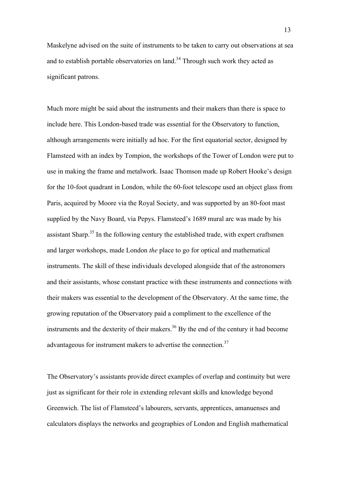Maskelyne advised on the suite of instruments to be taken to carry out observations at sea and to establish portable observatories on land.<sup>34</sup> Through such work they acted as significant patrons.

Much more might be said about the instruments and their makers than there is space to include here. This London-based trade was essential for the Observatory to function, although arrangements were initially ad hoc. For the first equatorial sector, designed by Flamsteed with an index by Tompion, the workshops of the Tower of London were put to use in making the frame and metalwork. Isaac Thomson made up Robert Hooke's design for the 10-foot quadrant in London, while the 60-foot telescope used an object glass from Paris, acquired by Moore via the Royal Society, and was supported by an 80-foot mast supplied by the Navy Board, via Pepys. Flamsteed's 1689 mural arc was made by his assistant Sharp.<sup>35</sup> In the following century the established trade, with expert craftsmen and larger workshops, made London *the* place to go for optical and mathematical instruments. The skill of these individuals developed alongside that of the astronomers and their assistants, whose constant practice with these instruments and connections with their makers was essential to the development of the Observatory. At the same time, the growing reputation of the Observatory paid a compliment to the excellence of the instruments and the dexterity of their makers.<sup>36</sup> By the end of the century it had become advantageous for instrument makers to advertise the connection.<sup>37</sup>

The Observatory's assistants provide direct examples of overlap and continuity but were just as significant for their role in extending relevant skills and knowledge beyond Greenwich. The list of Flamsteed's labourers, servants, apprentices, amanuenses and calculators displays the networks and geographies of London and English mathematical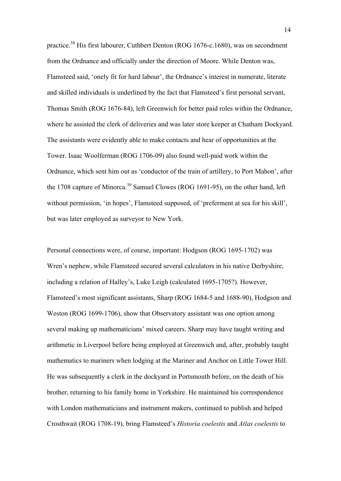practice.<sup>38</sup> His first labourer, Cuthbert Denton (ROG 1676-c.1680), was on secondment from the Ordnance and officially under the direction of Moore. While Denton was, Flamsteed said, 'onely fit for hard labour', the Ordnance's interest in numerate, literate and skilled individuals is underlined by the fact that Flamsteed's first personal servant, Thomas Smith (ROG 1676-84), left Greenwich for better paid roles within the Ordnance, where he assisted the clerk of deliveries and was later store keeper at Chatham Dockyard. The assistants were evidently able to make contacts and hear of opportunities at the Tower. Isaac Woolferman (ROG 1706-09) also found well-paid work within the Ordnance, which sent him out as 'conductor of the train of artillery, to Port Mahon', after the 1708 capture of Minorca.<sup>39</sup> Samuel Clowes (ROG 1691-95), on the other hand, left without permission, 'in hopes', Flamsteed supposed, of 'preferment at sea for his skill', but was later employed as surveyor to New York.

Personal connections were, of course, important: Hodgson (ROG 1695-1702) was Wren's nephew, while Flamsteed secured several calculators in his native Derbyshire, including a relation of Halley's, Luke Leigh (calculated 1695-1705?). However, Flamsteed's most significant assistants, Sharp (ROG 1684-5 and 1688-90), Hodgson and Weston (ROG 1699-1706), show that Observatory assistant was one option among several making up mathematicians' mixed careers. Sharp may have taught writing and arithmetic in Liverpool before being employed at Greenwich and, after, probably taught mathematics to mariners when lodging at the Mariner and Anchor on Little Tower Hill. He was subsequently a clerk in the dockyard in Portsmouth before, on the death of his brother, returning to his family home in Yorkshire. He maintained his correspondence with London mathematicians and instrument makers, continued to publish and helped Crosthwait (ROG 1708-19), bring Flamsteed's *Historia coelestis* and *Atlas coelestis* to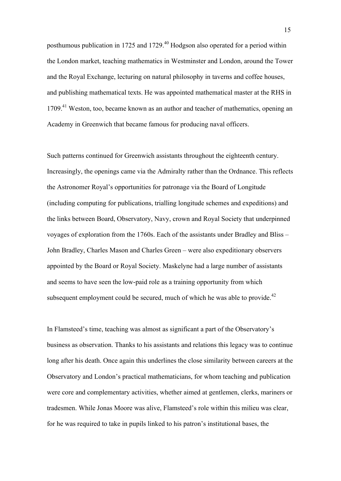posthumous publication in 1725 and 1729.<sup>40</sup> Hodgson also operated for a period within the London market, teaching mathematics in Westminster and London, around the Tower and the Royal Exchange, lecturing on natural philosophy in taverns and coffee houses, and publishing mathematical texts. He was appointed mathematical master at the RHS in 1709.<sup>41</sup> Weston, too, became known as an author and teacher of mathematics, opening an Academy in Greenwich that became famous for producing naval officers.

Such patterns continued for Greenwich assistants throughout the eighteenth century. Increasingly, the openings came via the Admiralty rather than the Ordnance. This reflects the Astronomer Royal's opportunities for patronage via the Board of Longitude (including computing for publications, trialling longitude schemes and expeditions) and the links between Board, Observatory, Navy, crown and Royal Society that underpinned voyages of exploration from the 1760s. Each of the assistants under Bradley and Bliss – John Bradley, Charles Mason and Charles Green – were also expeditionary observers appointed by the Board or Royal Society. Maskelyne had a large number of assistants and seems to have seen the low-paid role as a training opportunity from which subsequent employment could be secured, much of which he was able to provide.<sup>42</sup>

In Flamsteed's time, teaching was almost as significant a part of the Observatory's business as observation. Thanks to his assistants and relations this legacy was to continue long after his death. Once again this underlines the close similarity between careers at the Observatory and London's practical mathematicians, for whom teaching and publication were core and complementary activities, whether aimed at gentlemen, clerks, mariners or tradesmen. While Jonas Moore was alive, Flamsteed's role within this milieu was clear, for he was required to take in pupils linked to his patron's institutional bases, the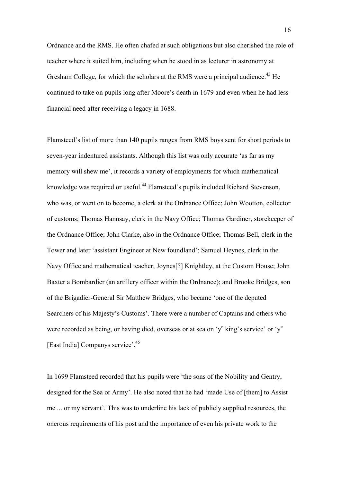Ordnance and the RMS. He often chafed at such obligations but also cherished the role of teacher where it suited him, including when he stood in as lecturer in astronomy at Gresham College, for which the scholars at the RMS were a principal audience.<sup>43</sup> He continued to take on pupils long after Moore's death in 1679 and even when he had less financial need after receiving a legacy in 1688.

Flamsteed's list of more than 140 pupils ranges from RMS boys sent for short periods to seven-year indentured assistants. Although this list was only accurate 'as far as my memory will shew me', it records a variety of employments for which mathematical knowledge was required or useful.<sup>44</sup> Flamsteed's pupils included Richard Stevenson, who was, or went on to become, a clerk at the Ordnance Office; John Wootton, collector of customs; Thomas Hannsay, clerk in the Navy Office; Thomas Gardiner, storekeeper of the Ordnance Office; John Clarke, also in the Ordnance Office; Thomas Bell, clerk in the Tower and later 'assistant Engineer at New foundland'; Samuel Heynes, clerk in the Navy Office and mathematical teacher; Joynes[?] Knightley, at the Custom House; John Baxter a Bombardier (an artillery officer within the Ordnance); and Brooke Bridges, son of the Brigadier-General Sir Matthew Bridges, who became 'one of the deputed Searchers of his Majesty's Customs'. There were a number of Captains and others who were recorded as being, or having died, overseas or at sea on 'y<sup>e</sup> king's service' or 'y<sup>e</sup> [East India] Companys service'.<sup>45</sup>

In 1699 Flamsteed recorded that his pupils were 'the sons of the Nobility and Gentry, designed for the Sea or Army'. He also noted that he had 'made Use of [them] to Assist me ... or my servant'. This was to underline his lack of publicly supplied resources, the onerous requirements of his post and the importance of even his private work to the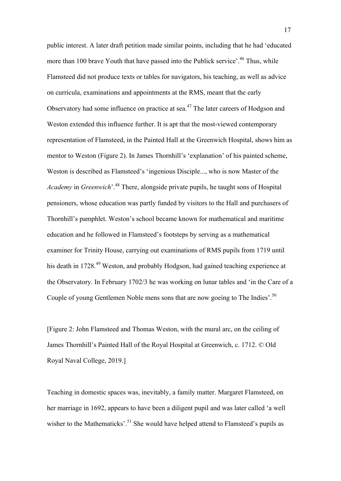public interest. A later draft petition made similar points, including that he had 'educated more than 100 brave Youth that have passed into the Publick service'.<sup>46</sup> Thus, while Flamsteed did not produce texts or tables for navigators, his teaching, as well as advice on curricula, examinations and appointments at the RMS, meant that the early Observatory had some influence on practice at sea.<sup>47</sup> The later careers of Hodgson and Weston extended this influence further. It is apt that the most-viewed contemporary representation of Flamsteed, in the Painted Hall at the Greenwich Hospital, shows him as mentor to Weston (Figure 2). In James Thornhill's 'explanation' of his painted scheme, Weston is described as Flamsteed's 'ingenious Disciple..., who is now Master of the *Academy* in *Greenwich*'.<sup>48</sup> There, alongside private pupils, he taught sons of Hospital pensioners, whose education was partly funded by visitors to the Hall and purchasers of Thornhill's pamphlet. Weston's school became known for mathematical and maritime education and he followed in Flamsteed's footsteps by serving as a mathematical examiner for Trinity House, carrying out examinations of RMS pupils from 1719 until his death in 1728<sup>49</sup> Weston, and probably Hodgson, had gained teaching experience at the Observatory. In February 1702/3 he was working on lunar tables and 'in the Care of a Couple of young Gentlemen Noble mens sons that are now goeing to The Indies'.<sup>50</sup>

[Figure 2: John Flamsteed and Thomas Weston, with the mural arc, on the ceiling of James Thornhill's Painted Hall of the Royal Hospital at Greenwich, c. 1712. © Old Royal Naval College, 2019.]

Teaching in domestic spaces was, inevitably, a family matter. Margaret Flamsteed, on her marriage in 1692, appears to have been a diligent pupil and was later called 'a well wisher to the Mathematicks'.<sup>51</sup> She would have helped attend to Flamsteed's pupils as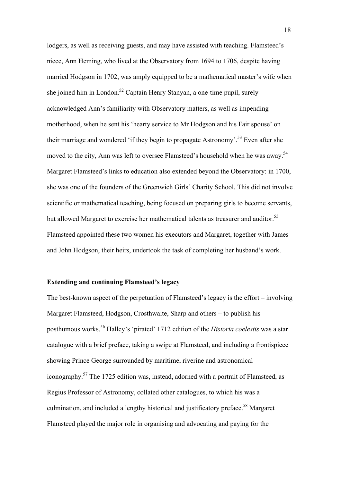lodgers, as well as receiving guests, and may have assisted with teaching. Flamsteed's niece, Ann Heming, who lived at the Observatory from 1694 to 1706, despite having married Hodgson in 1702, was amply equipped to be a mathematical master's wife when she joined him in London.<sup>52</sup> Captain Henry Stanyan, a one-time pupil, surely acknowledged Ann's familiarity with Observatory matters, as well as impending motherhood, when he sent his 'hearty service to Mr Hodgson and his Fair spouse' on their marriage and wondered 'if they begin to propagate Astronomy'.<sup>53</sup> Even after she moved to the city, Ann was left to oversee Flamsteed's household when he was away.<sup>54</sup> Margaret Flamsteed's links to education also extended beyond the Observatory: in 1700, she was one of the founders of the Greenwich Girls' Charity School. This did not involve scientific or mathematical teaching, being focused on preparing girls to become servants, but allowed Margaret to exercise her mathematical talents as treasurer and auditor.<sup>55</sup> Flamsteed appointed these two women his executors and Margaret, together with James and John Hodgson, their heirs, undertook the task of completing her husband's work.

#### **Extending and continuing Flamsteed's legacy**

The best-known aspect of the perpetuation of Flamsteed's legacy is the effort – involving Margaret Flamsteed, Hodgson, Crosthwaite, Sharp and others – to publish his posthumous works. <sup>56</sup> Halley's 'pirated' 1712 edition of the *Historia coelestis* was a star catalogue with a brief preface, taking a swipe at Flamsteed, and including a frontispiece showing Prince George surrounded by maritime, riverine and astronomical iconography.<sup>57</sup> The 1725 edition was, instead, adorned with a portrait of Flamsteed, as Regius Professor of Astronomy, collated other catalogues, to which his was a culmination, and included a lengthy historical and justificatory preface.<sup>58</sup> Margaret Flamsteed played the major role in organising and advocating and paying for the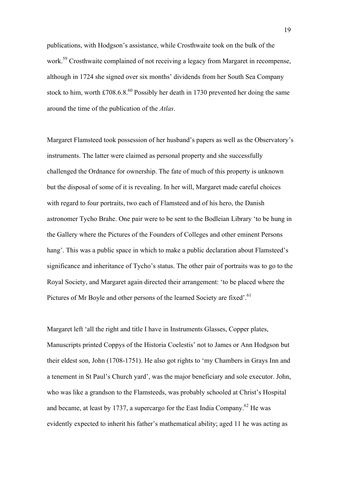publications, with Hodgson's assistance, while Crosthwaite took on the bulk of the work.<sup>59</sup> Crosthwaite complained of not receiving a legacy from Margaret in recompense, although in 1724 she signed over six months' dividends from her South Sea Company stock to him, worth £708.6.8. $^{60}$  Possibly her death in 1730 prevented her doing the same around the time of the publication of the *Atlas*.

Margaret Flamsteed took possession of her husband's papers as well as the Observatory's instruments. The latter were claimed as personal property and she successfully challenged the Ordnance for ownership. The fate of much of this property is unknown but the disposal of some of it is revealing. In her will, Margaret made careful choices with regard to four portraits, two each of Flamsteed and of his hero, the Danish astronomer Tycho Brahe. One pair were to be sent to the Bodleian Library 'to be hung in the Gallery where the Pictures of the Founders of Colleges and other eminent Persons hang'. This was a public space in which to make a public declaration about Flamsteed's significance and inheritance of Tycho's status. The other pair of portraits was to go to the Royal Society, and Margaret again directed their arrangement: 'to be placed where the Pictures of Mr Boyle and other persons of the learned Society are fixed'.<sup>61</sup>

Margaret left 'all the right and title I have in Instruments Glasses, Copper plates, Manuscripts printed Coppys of the Historia Coelestis' not to James or Ann Hodgson but their eldest son, John (1708-1751). He also got rights to 'my Chambers in Grays Inn and a tenement in St Paul's Church yard', was the major beneficiary and sole executor. John, who was like a grandson to the Flamsteeds, was probably schooled at Christ's Hospital and became, at least by 1737, a supercargo for the East India Company.<sup>62</sup> He was evidently expected to inherit his father's mathematical ability; aged 11 he was acting as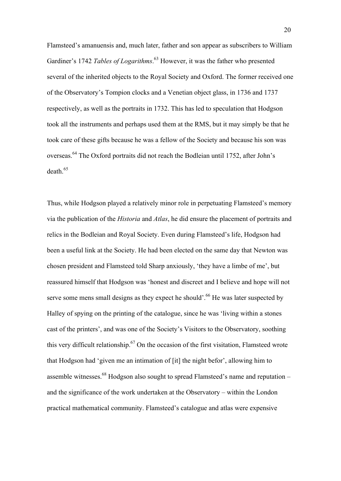Flamsteed's amanuensis and, much later, father and son appear as subscribers to William Gardiner's 1742 *Tables of Logarithms*. <sup>63</sup> However, it was the father who presented several of the inherited objects to the Royal Society and Oxford. The former received one of the Observatory's Tompion clocks and a Venetian object glass, in 1736 and 1737 respectively, as well as the portraits in 1732. This has led to speculation that Hodgson took all the instruments and perhaps used them at the RMS, but it may simply be that he took care of these gifts because he was a fellow of the Society and because his son was overseas.<sup>64</sup> The Oxford portraits did not reach the Bodleian until 1752, after John's death.<sup>65</sup>

Thus, while Hodgson played a relatively minor role in perpetuating Flamsteed's memory via the publication of the *Historia* and *Atlas*, he did ensure the placement of portraits and relics in the Bodleian and Royal Society. Even during Flamsteed's life, Hodgson had been a useful link at the Society. He had been elected on the same day that Newton was chosen president and Flamsteed told Sharp anxiously, 'they have a limbe of me', but reassured himself that Hodgson was 'honest and discreet and I believe and hope will not serve some mens small designs as they expect he should'.<sup>66</sup> He was later suspected by Halley of spying on the printing of the catalogue, since he was 'living within a stones cast of the printers', and was one of the Society's Visitors to the Observatory, soothing this very difficult relationship.<sup>67</sup> On the occasion of the first visitation, Flamsteed wrote that Hodgson had 'given me an intimation of [it] the night befor', allowing him to assemble witnesses.<sup>68</sup> Hodgson also sought to spread Flamsteed's name and reputation – and the significance of the work undertaken at the Observatory – within the London practical mathematical community. Flamsteed's catalogue and atlas were expensive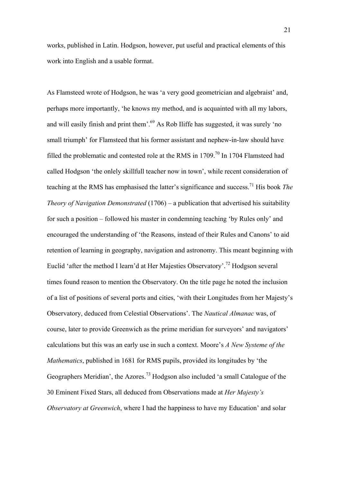works, published in Latin. Hodgson, however, put useful and practical elements of this work into English and a usable format.

As Flamsteed wrote of Hodgson, he was 'a very good geometrician and algebraist' and, perhaps more importantly, 'he knows my method, and is acquainted with all my labors, and will easily finish and print them'.<sup>69</sup> As Rob Iliffe has suggested, it was surely 'no small triumph' for Flamsteed that his former assistant and nephew-in-law should have filled the problematic and contested role at the RMS in  $1709$ .<sup>70</sup> In 1704 Flamsteed had called Hodgson 'the onlely skillfull teacher now in town', while recent consideration of teaching at the RMS has emphasised the latter's significance and success.<sup>71</sup> His book *The Theory of Navigation Demonstrated* (1706) – a publication that advertised his suitability for such a position – followed his master in condemning teaching 'by Rules only' and encouraged the understanding of 'the Reasons, instead of their Rules and Canons' to aid retention of learning in geography, navigation and astronomy. This meant beginning with Euclid 'after the method I learn'd at Her Majesties Observatory'.<sup>72</sup> Hodgson several times found reason to mention the Observatory. On the title page he noted the inclusion of a list of positions of several ports and cities, 'with their Longitudes from her Majesty's Observatory, deduced from Celestial Observations'. The *Nautical Almanac* was, of course, later to provide Greenwich as the prime meridian for surveyors' and navigators' calculations but this was an early use in such a context. Moore's *A New Systeme of the Mathematics*, published in 1681 for RMS pupils, provided its longitudes by 'the Geographers Meridian', the Azores.<sup>73</sup> Hodgson also included 'a small Catalogue of the 30 Eminent Fixed Stars, all deduced from Observations made at *Her Majesty's Observatory at Greenwich*, where I had the happiness to have my Education' and solar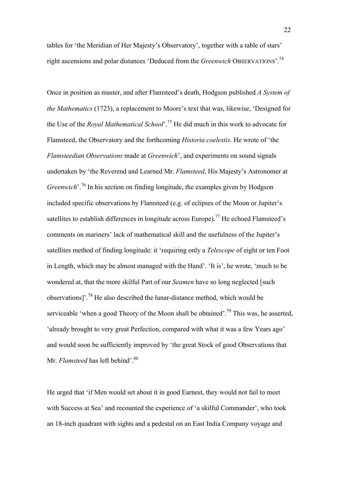tables for 'the Meridian of Her Majesty's Observatory', together with a table of stars' right ascensions and polar distances 'Deduced from the *Greenwich* OBSERVATIONS'.<sup>74</sup>

Once in position as master, and after Flamsteed's death, Hodgson published *A System of the Mathematics* (1723), a replacement to Moore's text that was, likewise, 'Designed for the Use of the *Royal Mathematical School*'.<sup>75</sup> He did much in this work to advocate for Flamsteed, the Observatory and the forthcoming *Historia coelestis*. He wrote of 'the *Flamsteedian Observations* made at *Greenwich*', and experiments on sound signals undertaken by 'the Reverend and Learned Mr. *Flamsteed*, His Majesty's Astronomer at *Greenwich*'.<sup>76</sup> In his section on finding longitude, the examples given by Hodgson included specific observations by Flamsteed (e.g. of eclipses of the Moon or Jupiter's satellites to establish differences in longitude across Europe).<sup>77</sup> He echoed Flamsteed's comments on mariners' lack of mathematical skill and the usefulness of the Jupiter's satellites method of finding longitude: it 'requiring only a *Telescope* of eight or ten Foot in Length, which may be almost managed with the Hand'. 'It is', he wrote, 'much to be wondered at, that the more skilful Part of our *Seamen* have so long neglected [such observations]'.<sup>78</sup> He also described the lunar-distance method, which would be serviceable 'when a good Theory of the Moon shall be obtained'.<sup>79</sup> This was, he asserted, 'already brought to very great Perfection, compared with what it was a few Years ago' and would soon be sufficiently improved by 'the great Stock of good Observations that Mr. *Flamsteed* has left behind'. 80

He urged that 'if Men would set about it in good Earnest, they would not fail to meet with Success at Sea' and recounted the experience of 'a skilful Commander', who took an 18-inch quadrant with sights and a pedestal on an East India Company voyage and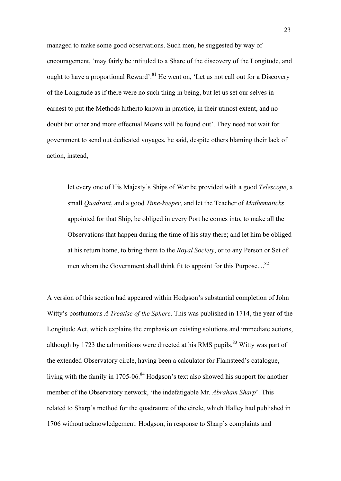managed to make some good observations. Such men, he suggested by way of encouragement, 'may fairly be intituled to a Share of the discovery of the Longitude, and ought to have a proportional Reward'.<sup>81</sup> He went on, 'Let us not call out for a Discovery of the Longitude as if there were no such thing in being, but let us set our selves in earnest to put the Methods hitherto known in practice, in their utmost extent, and no doubt but other and more effectual Means will be found out'. They need not wait for government to send out dedicated voyages, he said, despite others blaming their lack of action, instead,

let every one of His Majesty's Ships of War be provided with a good *Telescope*, a small *Quadrant*, and a good *Time-keeper*, and let the Teacher of *Mathematicks* appointed for that Ship, be obliged in every Port he comes into, to make all the Observations that happen during the time of his stay there; and let him be obliged at his return home, to bring them to the *Royal Society*, or to any Person or Set of men whom the Government shall think fit to appoint for this Purpose....<sup>82</sup>

A version of this section had appeared within Hodgson's substantial completion of John Witty's posthumous *A Treatise of the Sphere*. This was published in 1714, the year of the Longitude Act, which explains the emphasis on existing solutions and immediate actions, although by 1723 the admonitions were directed at his RMS pupils.<sup>83</sup> Witty was part of the extended Observatory circle, having been a calculator for Flamsteed's catalogue, living with the family in 1705-06.<sup>84</sup> Hodgson's text also showed his support for another member of the Observatory network, 'the indefatigable Mr. *Abraham Sharp*'. This related to Sharp's method for the quadrature of the circle, which Halley had published in 1706 without acknowledgement. Hodgson, in response to Sharp's complaints and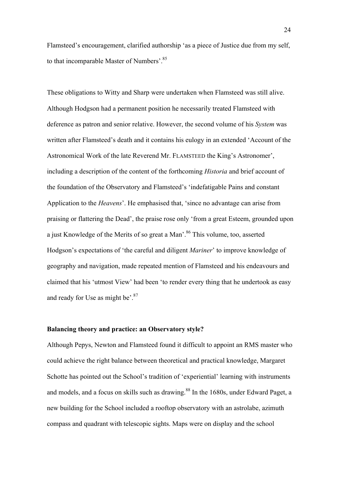Flamsteed's encouragement, clarified authorship 'as a piece of Justice due from my self, to that incomparable Master of Numbers'.<sup>85</sup>

These obligations to Witty and Sharp were undertaken when Flamsteed was still alive. Although Hodgson had a permanent position he necessarily treated Flamsteed with deference as patron and senior relative. However, the second volume of his *System* was written after Flamsteed's death and it contains his eulogy in an extended 'Account of the Astronomical Work of the late Reverend Mr. FLAMSTEED the King's Astronomer', including a description of the content of the forthcoming *Historia* and brief account of the foundation of the Observatory and Flamsteed's 'indefatigable Pains and constant Application to the *Heavens*'. He emphasised that, 'since no advantage can arise from praising or flattering the Dead', the praise rose only 'from a great Esteem, grounded upon a just Knowledge of the Merits of so great a Man'.<sup>86</sup> This volume, too, asserted Hodgson's expectations of 'the careful and diligent *Mariner*' to improve knowledge of geography and navigation, made repeated mention of Flamsteed and his endeavours and claimed that his 'utmost View' had been 'to render every thing that he undertook as easy and ready for Use as might be'.<sup>87</sup>

## **Balancing theory and practice: an Observatory style?**

Although Pepys, Newton and Flamsteed found it difficult to appoint an RMS master who could achieve the right balance between theoretical and practical knowledge, Margaret Schotte has pointed out the School's tradition of 'experiential' learning with instruments and models, and a focus on skills such as drawing.<sup>88</sup> In the 1680s, under Edward Paget, a new building for the School included a rooftop observatory with an astrolabe, azimuth compass and quadrant with telescopic sights. Maps were on display and the school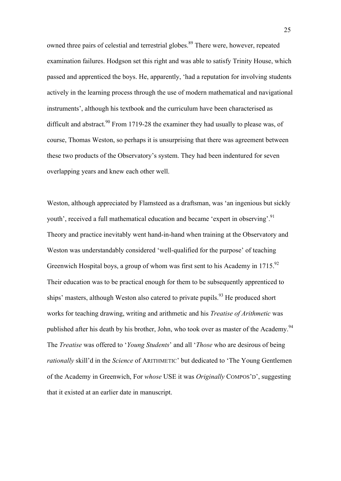owned three pairs of celestial and terrestrial globes.<sup>89</sup> There were, however, repeated examination failures. Hodgson set this right and was able to satisfy Trinity House, which passed and apprenticed the boys. He, apparently, 'had a reputation for involving students actively in the learning process through the use of modern mathematical and navigational instruments', although his textbook and the curriculum have been characterised as difficult and abstract.<sup>90</sup> From 1719-28 the examiner they had usually to please was, of course, Thomas Weston, so perhaps it is unsurprising that there was agreement between these two products of the Observatory's system. They had been indentured for seven overlapping years and knew each other well.

Weston, although appreciated by Flamsteed as a draftsman, was 'an ingenious but sickly youth', received a full mathematical education and became 'expert in observing'.<sup>91</sup> Theory and practice inevitably went hand-in-hand when training at the Observatory and Weston was understandably considered 'well-qualified for the purpose' of teaching Greenwich Hospital boys, a group of whom was first sent to his Academy in 1715.<sup>92</sup> Their education was to be practical enough for them to be subsequently apprenticed to ships' masters, although Weston also catered to private pupils.<sup>93</sup> He produced short works for teaching drawing, writing and arithmetic and his *Treatise of Arithmetic* was published after his death by his brother, John, who took over as master of the Academy.<sup>94</sup> The *Treatise* was offered to '*Young Students*' and all '*Those* who are desirous of being *rationally* skill'd in the *Science* of ARITHMETIC' but dedicated to 'The Young Gentlemen of the Academy in Greenwich, For *whose* USE it was *Originally* COMPOS'D', suggesting that it existed at an earlier date in manuscript.

25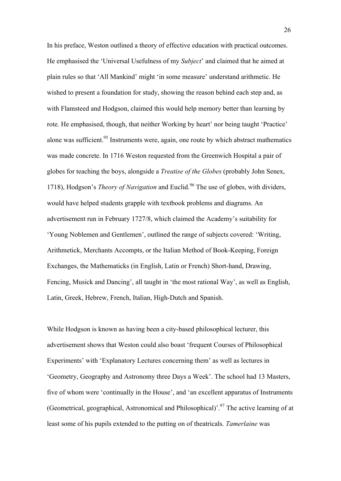In his preface, Weston outlined a theory of effective education with practical outcomes. He emphasised the 'Universal Usefulness of my *Subject*' and claimed that he aimed at plain rules so that 'All Mankind' might 'in some measure' understand arithmetic. He wished to present a foundation for study, showing the reason behind each step and, as with Flamsteed and Hodgson, claimed this would help memory better than learning by rote. He emphasised, though, that neither Working by heart' nor being taught 'Practice' alone was sufficient.<sup>95</sup> Instruments were, again, one route by which abstract mathematics was made concrete. In 1716 Weston requested from the Greenwich Hospital a pair of globes for teaching the boys, alongside a *Treatise of the Globes* (probably John Senex, 1718), Hodgson's *Theory of Navigation* and Euclid.<sup>96</sup> The use of globes, with dividers, would have helped students grapple with textbook problems and diagrams. An advertisement run in February 1727/8, which claimed the Academy's suitability for 'Young Noblemen and Gentlemen', outlined the range of subjects covered: 'Writing, Arithmetick, Merchants Accompts, or the Italian Method of Book-Keeping, Foreign Exchanges, the Mathematicks (in English, Latin or French) Short-hand, Drawing, Fencing, Musick and Dancing', all taught in 'the most rational Way', as well as English, Latin, Greek, Hebrew, French, Italian, High-Dutch and Spanish.

While Hodgson is known as having been a city-based philosophical lecturer, this advertisement shows that Weston could also boast 'frequent Courses of Philosophical Experiments' with 'Explanatory Lectures concerning them' as well as lectures in 'Geometry, Geography and Astronomy three Days a Week'. The school had 13 Masters, five of whom were 'continually in the House', and 'an excellent apparatus of Instruments (Geometrical, geographical, Astronomical and Philosophical)<sup>'.97</sup> The active learning of at least some of his pupils extended to the putting on of theatricals. *Tamerlaine* was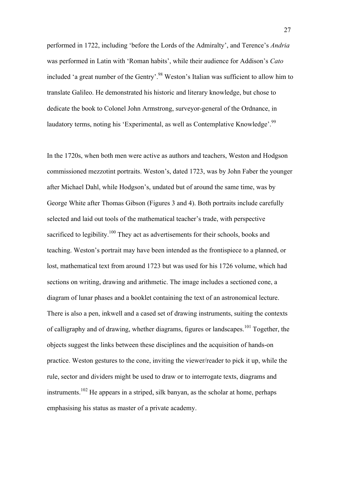performed in 1722, including 'before the Lords of the Admiralty', and Terence's *Andria* was performed in Latin with 'Roman habits', while their audience for Addison's *Cato* included 'a great number of the Gentry'. <sup>98</sup> Weston's Italian was sufficient to allow him to translate Galileo. He demonstrated his historic and literary knowledge, but chose to dedicate the book to Colonel John Armstrong, surveyor-general of the Ordnance, in laudatory terms, noting his 'Experimental, as well as Contemplative Knowledge'.<sup>99</sup>

In the 1720s, when both men were active as authors and teachers, Weston and Hodgson commissioned mezzotint portraits. Weston's, dated 1723, was by John Faber the younger after Michael Dahl, while Hodgson's, undated but of around the same time, was by George White after Thomas Gibson (Figures 3 and 4). Both portraits include carefully selected and laid out tools of the mathematical teacher's trade, with perspective sacrificed to legibility.<sup>100</sup> They act as advertisements for their schools, books and teaching. Weston's portrait may have been intended as the frontispiece to a planned, or lost, mathematical text from around 1723 but was used for his 1726 volume, which had sections on writing, drawing and arithmetic. The image includes a sectioned cone, a diagram of lunar phases and a booklet containing the text of an astronomical lecture. There is also a pen, inkwell and a cased set of drawing instruments, suiting the contexts of calligraphy and of drawing, whether diagrams, figures or landscapes.<sup>101</sup> Together, the objects suggest the links between these disciplines and the acquisition of hands-on practice. Weston gestures to the cone, inviting the viewer/reader to pick it up, while the rule, sector and dividers might be used to draw or to interrogate texts, diagrams and instruments.<sup>102</sup> He appears in a striped, silk banyan, as the scholar at home, perhaps emphasising his status as master of a private academy.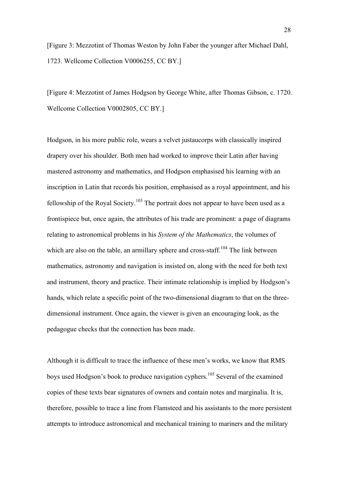[Figure 3: Mezzotint of Thomas Weston by John Faber the younger after Michael Dahl, 1723. Wellcome Collection V0006255, CC BY.]

[Figure 4: Mezzotint of James Hodgson by George White, after Thomas Gibson, c. 1720. Wellcome Collection V0002805, CC BY.]

Hodgson, in his more public role, wears a velvet justaucorps with classically inspired drapery over his shoulder. Both men had worked to improve their Latin after having mastered astronomy and mathematics, and Hodgson emphasised his learning with an inscription in Latin that records his position, emphasised as a royal appointment, and his fellowship of the Royal Society.<sup>103</sup> The portrait does not appear to have been used as a frontispiece but, once again, the attributes of his trade are prominent: a page of diagrams relating to astronomical problems in his *System of the Mathematics*, the volumes of which are also on the table, an armillary sphere and cross-staff.<sup>104</sup> The link between mathematics, astronomy and navigation is insisted on, along with the need for both text and instrument, theory and practice. Their intimate relationship is implied by Hodgson's hands, which relate a specific point of the two-dimensional diagram to that on the threedimensional instrument. Once again, the viewer is given an encouraging look, as the pedagogue checks that the connection has been made.

Although it is difficult to trace the influence of these men's works, we know that RMS boys used Hodgson's book to produce navigation cyphers. <sup>105</sup> Several of the examined copies of these texts bear signatures of owners and contain notes and marginalia. It is, therefore, possible to trace a line from Flamsteed and his assistants to the more persistent attempts to introduce astronomical and mechanical training to mariners and the military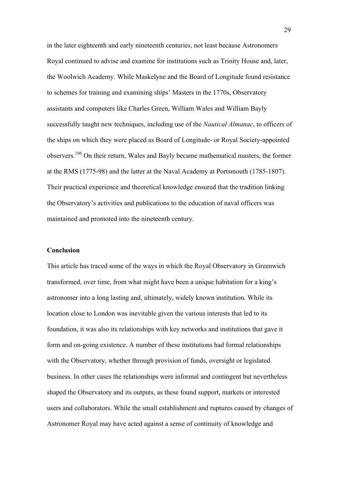in the later eighteenth and early nineteenth centuries, not least because Astronomers Royal continued to advise and examine for institutions such as Trinity House and, later, the Woolwich Academy. While Maskelyne and the Board of Longitude found resistance to schemes for training and examining ships' Masters in the 1770s, Observatory assistants and computers like Charles Green, William Wales and William Bayly successfully taught new techniques, including use of the *Nautical Almanac*, to officers of the ships on which they were placed as Board of Longitude- or Royal Society-appointed observers.<sup>106</sup> On their return, Wales and Bayly became mathematical masters, the former at the RMS (1775-98) and the latter at the Naval Academy at Portsmouth (1785-1807). Their practical experience and theoretical knowledge ensured that the tradition linking the Observatory's activities and publications to the education of naval officers was maintained and promoted into the nineteenth century.

#### **Conclusion**

This article has traced some of the ways in which the Royal Observatory in Greenwich transformed, over time, from what might have been a unique habitation for a king's astronomer into a long lasting and, ultimately, widely known institution. While its location close to London was inevitable given the various interests that led to its foundation, it was also its relationships with key networks and institutions that gave it form and on-going existence. A number of these institutions had formal relationships with the Observatory, whether through provision of funds, oversight or legislated business. In other cases the relationships were informal and contingent but nevertheless shaped the Observatory and its outputs, as these found support, markets or interested users and collaborators. While the small establishment and ruptures caused by changes of Astronomer Royal may have acted against a sense of continuity of knowledge and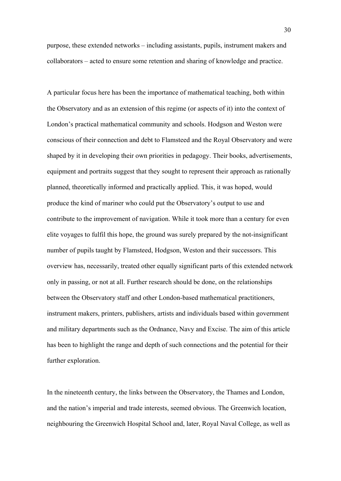purpose, these extended networks – including assistants, pupils, instrument makers and collaborators – acted to ensure some retention and sharing of knowledge and practice.

A particular focus here has been the importance of mathematical teaching, both within the Observatory and as an extension of this regime (or aspects of it) into the context of London's practical mathematical community and schools. Hodgson and Weston were conscious of their connection and debt to Flamsteed and the Royal Observatory and were shaped by it in developing their own priorities in pedagogy. Their books, advertisements, equipment and portraits suggest that they sought to represent their approach as rationally planned, theoretically informed and practically applied. This, it was hoped, would produce the kind of mariner who could put the Observatory's output to use and contribute to the improvement of navigation. While it took more than a century for even elite voyages to fulfil this hope, the ground was surely prepared by the not-insignificant number of pupils taught by Flamsteed, Hodgson, Weston and their successors. This overview has, necessarily, treated other equally significant parts of this extended network only in passing, or not at all. Further research should be done, on the relationships between the Observatory staff and other London-based mathematical practitioners, instrument makers, printers, publishers, artists and individuals based within government and military departments such as the Ordnance, Navy and Excise. The aim of this article has been to highlight the range and depth of such connections and the potential for their further exploration.

In the nineteenth century, the links between the Observatory, the Thames and London, and the nation's imperial and trade interests, seemed obvious. The Greenwich location, neighbouring the Greenwich Hospital School and, later, Royal Naval College, as well as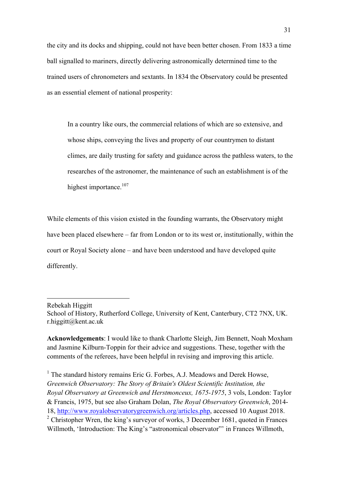the city and its docks and shipping, could not have been better chosen. From 1833 a time ball signalled to mariners, directly delivering astronomically determined time to the trained users of chronometers and sextants. In 1834 the Observatory could be presented as an essential element of national prosperity:

In a country like ours, the commercial relations of which are so extensive, and whose ships, conveying the lives and property of our countrymen to distant climes, are daily trusting for safety and guidance across the pathless waters, to the researches of the astronomer, the maintenance of such an establishment is of the highest importance.<sup>107</sup>

While elements of this vision existed in the founding warrants, the Observatory might have been placed elsewhere – far from London or to its west or, institutionally, within the court or Royal Society alone – and have been understood and have developed quite differently.

Rebekah Higgitt

 

**Acknowledgements**: I would like to thank Charlotte Sleigh, Jim Bennett, Noah Moxham and Jasmine Kilburn-Toppin for their advice and suggestions. These, together with the comments of the referees, have been helpful in revising and improving this article.

<sup>1</sup> The standard history remains Eric G. Forbes, A.J. Meadows and Derek Howse, *Greenwich Observatory: The Story of Britain's Oldest Scientific Institution, the Royal Observatory at Greenwich and Herstmonceux, 1675-1975*, 3 vols, London: Taylor & Francis, 1975, but see also Graham Dolan, *The Royal Observatory Greenwich*, 2014- 18, http://www.royalobservatorygreenwich.org/articles.php, accessed 10 August 2018. <sup>2</sup> Christopher Wren, the king's surveyor of works, 3 December 1681, quoted in Frances Willmoth, 'Introduction: The King's "astronomical observator" in Frances Willmoth,

School of History, Rutherford College, University of Kent, Canterbury, CT2 7NX, UK. r.higgitt@kent.ac.uk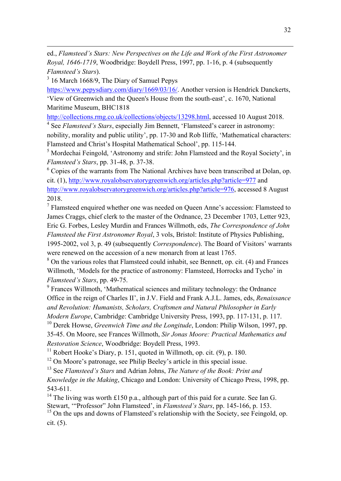ed., *Flamsteed's Stars: New Perspectives on the Life and Work of the First Astronomer Royal, 1646-1719*, Woodbridge: Boydell Press, 1997, pp. 1-16, p. 4 (subsequently *Flamsteed's Stars*).

<u> 1989 - Andrea Station Barbara, actor a component de la componentación de la componentación de la componentaci</u>

<sup>3</sup> 16 March 1668/9, The Diary of Samuel Pepys

https://www.pepysdiary.com/diary/1669/03/16/. Another version is Hendrick Danckerts, 'View of Greenwich and the Queen's House from the south-east', c. 1670, National Maritime Museum, BHC1818

http://collections.rmg.co.uk/collections/objects/13298.html, accessed 10 August 2018.

<sup>4</sup> See *Flamsteed's Stars*, especially Jim Bennett, 'Flamsteed's career in astronomy:

nobility, morality and public utility', pp. 17-30 and Rob Iliffe, 'Mathematical characters: Flamsteed and Christ's Hospital Mathematical School', pp. 115-144.

<sup>5</sup> Mordechai Feingold, 'Astronomy and strife: John Flamsteed and the Royal Society', in *Flamsteed's Stars*, pp. 31-48, p. 37-38.

<sup>6</sup> Copies of the warrants from The National Archives have been transcribed at Dolan, op. cit. (1), http://www.royalobservatorygreenwich.org/articles.php?article=977 and http://www.royalobservatorygreenwich.org/articles.php?article=976, accessed 8 August 2018.

 $7$  Flamsteed enquired whether one was needed on Queen Anne's accession: Flamsteed to James Craggs, chief clerk to the master of the Ordnance, 23 December 1703, Letter 923, Eric G. Forbes, Lesley Murdin and Frances Willmoth, eds, *The Correspondence of John Flamsteed the First Astronomer Royal*, 3 vols, Bristol: Institute of Physics Publishing, 1995-2002, vol 3, p. 49 (subsequently *Correspondence*). The Board of Visitors' warrants were renewed on the accession of a new monarch from at least 1765.

<sup>8</sup> On the various roles that Flamsteed could inhabit, see Bennett, op. cit. (4) and Frances Willmoth, 'Models for the practice of astronomy: Flamsteed, Horrocks and Tycho' in *Flamsteed's Stars*, pp. 49-75.

<sup>9</sup> Frances Willmoth, 'Mathematical sciences and military technology: the Ordnance Office in the reign of Charles II', in J.V. Field and Frank A.J.L. James, eds, *Renaissance and Revolution: Humanists, Scholars, Craftsmen and Natural Philosopher in Early Modern Europe*, Cambridge: Cambridge University Press, 1993, pp. 117-131, p. 117.

<sup>10</sup> Derek Howse, *Greenwich Time and the Longitude*, London: Philip Wilson, 1997, pp. 35-45. On Moore, see Frances Willmoth, *Sir Jonas Moore: Practical Mathematics and Restoration Science*, Woodbridge: Boydell Press, 1993.

 $11$  Robert Hooke's Diary, p. 151, quoted in Willmoth, op. cit. (9), p. 180.

<sup>12</sup> On Moore's patronage, see Philip Beeley's article in this special issue.

<sup>13</sup> See *Flamsteed's Stars* and Adrian Johns, *The Nature of the Book: Print and Knowledge in the Making*, Chicago and London: University of Chicago Press, 1998, pp. 543-611.

<sup>14</sup> The living was worth £150 p.a., although part of this paid for a curate. See Ian G. Stewart, '"Professor" John Flamsteed', in *Flamsteed's Stars*, pp. 145-166, p. 153.

<sup>15</sup> On the ups and downs of Flamsteed's relationship with the Society, see Feingold, op. cit. (5).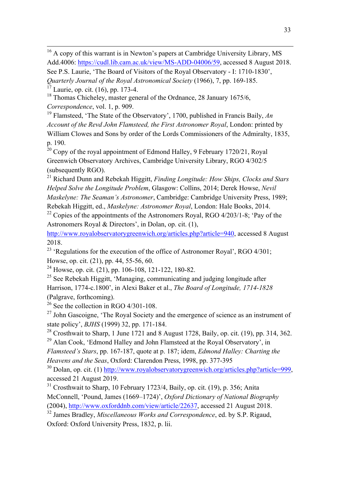<u> 1989 - Andrea Station Barbara, actor a component de la componentación de la componentación de la componentaci</u>

<sup>18</sup> Thomas Chicheley, master general of the Ordnance, 28 January 1675/6, *Correspondence*, vol. 1, p. 909.

<sup>19</sup> Flamsteed, 'The State of the Observatory', 1700, published in Francis Baily, *An Account of the Revd John Flamsteed, the First Astronomer Royal*, London: printed by William Clowes and Sons by order of the Lords Commissioners of the Admiralty, 1835, p. 190.

 $20$  Copy of the royal appointment of Edmond Halley, 9 February 1720/21, Royal Greenwich Observatory Archives, Cambridge University Library, RGO 4/302/5 (subsequently RGO).

<sup>21</sup> Richard Dunn and Rebekah Higgitt, *Finding Longitude: How Ships, Clocks and Stars Helped Solve the Longitude Problem*, Glasgow: Collins, 2014; Derek Howse, *Nevil Maskelyne: The Seaman's Astronomer*, Cambridge: Cambridge University Press, 1989; Rebekah Higgitt, ed., *Maskelyne: Astronomer Royal*, London: Hale Books, 2014.

<sup>22</sup> Copies of the appointments of the Astronomers Royal, RGO  $4/203/1-8$ ; 'Pay of the Astronomers Royal & Directors', in Dolan, op. cit. (1),

http://www.royalobservatorygreenwich.org/articles.php?article=940, accessed 8 August 2018.

<sup>23</sup> 'Regulations for the execution of the office of Astronomer Royal', RGO 4/301; Howse, op. cit. (21), pp. 44, 55-56, 60.

 $^{24}$  Howse, op. cit. (21), pp. 106-108, 121-122, 180-82.

 $25$  See Rebekah Higgitt, 'Managing, communicating and judging longitude after Harrison, 1774-c.1800', in Alexi Baker et al., *The Board of Longitude, 1714-1828* (Palgrave, forthcoming).

 $^{26}$  See the collection in RGO 4/301-108.

<sup>27</sup> John Gascoigne, 'The Royal Society and the emergence of science as an instrument of state policy', *BJHS* (1999) 32, pp. 171-184.

<sup>28</sup> Crosthwait to Sharp, 1 June 1721 and 8 August 1728, Baily, op. cit. (19), pp. 314, 362.  $29$  Alan Cook, 'Edmond Halley and John Flamsteed at the Royal Observatory', in

*Flamsteed's Stars*, pp. 167-187, quote at p. 187; idem, *Edmond Halley: Charting the Heavens and the Seas*, Oxford: Clarendon Press, 1998, pp. 377-395

 $30$  Dolan, op. cit. (1) http://www.royalobservatorygreenwich.org/articles.php?article=999, accessed 21 August 2019.

 $31$  Crosthwait to Sharp, 10 February 1723/4, Baily, op. cit. (19), p. 356; Anita McConnell, 'Pound, James (1669–1724)', *Oxford Dictionary of National Biography* (2004), http://www.oxforddnb.com/view/article/22637, accessed 21 August 2018.

<sup>32</sup> James Bradley, *Miscellaneous Works and Correspondence*, ed. by S.P. Rigaud, Oxford: Oxford University Press, 1832, p. lii.

<sup>&</sup>lt;sup>16</sup> A copy of this warrant is in Newton's papers at Cambridge University Library, MS Add.4006: https://cudl.lib.cam.ac.uk/view/MS-ADD-04006/59, accessed 8 August 2018. See P.S. Laurie, 'The Board of Visitors of the Royal Observatory - I: 1710-1830', *Quarterly Journal of the Royal Astronomical Society* (1966), 7, pp. 169-185.  $17$  Laurie, op. cit. (16), pp. 173-4.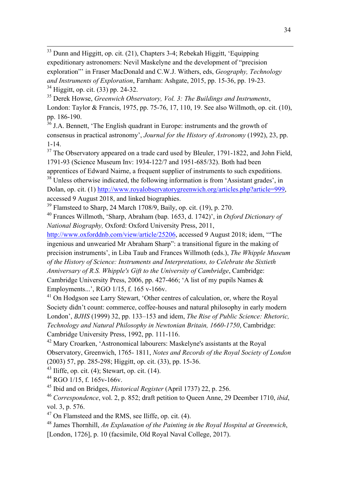<sup>33</sup> Dunn and Higgitt, op. cit. (21), Chapters 3-4; Rebekah Higgitt, 'Equipping expeditionary astronomers: Nevil Maskelyne and the development of "precision exploration"' in Fraser MacDonald and C.W.J. Withers, eds, *Geography, Technology and Instruments of Exploration*, Farnham: Ashgate, 2015, pp. 15-36, pp. 19-23.  $34$  Higgitt, op. cit. (33) pp. 24-32.

<u> 1989 - Andrea Station Barbara, actor a component de la componentación de la componentación de la componentaci</u>

<sup>35</sup> Derek Howse, *Greenwich Observatory, Vol. 3: The Buildings and Instruments*, London: Taylor & Francis, 1975, pp. 75-76, 17, 110, 19. See also Willmoth, op. cit. (10), pp. 186-190.

<sup>36</sup> J.A. Bennett, 'The English quadrant in Europe: instruments and the growth of consensus in practical astronomy', *Journal for the History of Astronomy* (1992), 23, pp. 1-14.

 $37$  The Observatory appeared on a trade card used by Bleuler, 1791-1822, and John Field, 1791-93 (Science Museum Inv: 1934-122/7 and 1951-685/32). Both had been apprentices of Edward Nairne, a frequent supplier of instruments to such expeditions.

<sup>38</sup> Unless otherwise indicated, the following information is from 'Assistant grades', in Dolan, op. cit. (1) http://www.royalobservatorygreenwich.org/articles.php?article=999, accessed 9 August 2018, and linked biographies.

 $39$  Flamsteed to Sharp, 24 March 1708/9, Baily, op. cit. (19), p. 270.

<sup>40</sup> Frances Willmoth, 'Sharp, Abraham (bap. 1653, d. 1742)', in *Oxford Dictionary of National Biography,* Oxford: Oxford University Press, 2011,

http://www.oxforddnb.com/view/article/25206, accessed 9 August 2018; idem, '"The ingenious and unwearied Mr Abraham Sharp": a transitional figure in the making of precision instruments', in Liba Taub and Frances Willmoth (eds.), *The Whipple Museum of the History of Science: Instruments and Interpretations, to Celebrate the Sixtieth Anniversary of R.S. Whipple's Gift to the University of Cambridge*, Cambridge: Cambridge University Press, 2006, pp. 427-466; 'A list of my pupils Names & Employments...', RGO 1/15, f. 165 v-166v.

<sup>41</sup> On Hodgson see Larry Stewart, 'Other centres of calculation, or, where the Royal Society didn't count: commerce, coffee-houses and natural philosophy in early modern London', *BJHS* (1999) 32, pp. 133–153 and idem, *The Rise of Public Science: Rhetoric, Technology and Natural Philosophy in Newtonian Britain, 1660-1750*, Cambridge: Cambridge University Press, 1992, pp. 111-116.

<sup>42</sup> Mary Croarken, 'Astronomical labourers: Maskelyne's assistants at the Royal Observatory, Greenwich, 1765- 1811, *Notes and Records of the Royal Society of London* (2003) 57, pp. 285-298; Higgitt, op. cit. (33), pp. 15-36.

 $43$  Iliffe, op. cit. (4); Stewart, op. cit. (14).

 $^{44}$  RGO 1/15, f. 165y-166y.

<sup>45</sup> Ibid and on Bridges, *Historical Register* (April 1737) 22, p. 256.

<sup>46</sup> *Correspondence*, vol. 2, p. 852; draft petition to Queen Anne, 29 Deember 1710, *ibid*, vol. 3, p. 576.

 $47$  On Flamsteed and the RMS, see Iliffe, op. cit. (4).

<sup>48</sup> James Thornhill, *An Explanation of the Painting in the Royal Hospital at Greenwich*, [London, 1726], p. 10 (facsimile, Old Royal Naval College, 2017).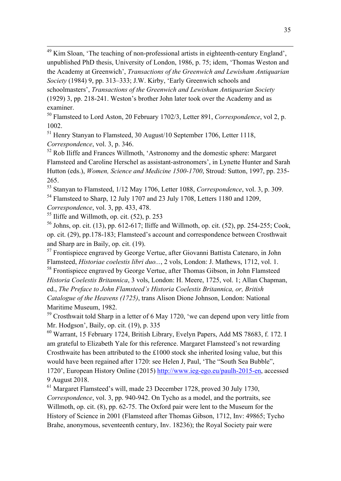<sup>49</sup> Kim Sloan, 'The teaching of non-professional artists in eighteenth-century England', unpublished PhD thesis, University of London, 1986, p. 75; idem, 'Thomas Weston and the Academy at Greenwich', *Transactions of the Greenwich and Lewisham Antiquarian Society* (1984) 9, pp. 313–333; J.W. Kirby, 'Early Greenwich schools and schoolmasters', *Transactions of the Greenwich and Lewisham Antiquarian Society*

<u> 1989 - Andrea Station Barbara, actor a component de la componentación de la componentación de la componentaci</u>

(1929) 3, pp. 218-241. Weston's brother John later took over the Academy and as examiner.

<sup>50</sup> Flamsteed to Lord Aston, 20 February 1702/3, Letter 891, *Correspondence*, vol 2, p. 1002.

<sup>51</sup> Henry Stanyan to Flamsteed, 30 August/10 September 1706, Letter 1118,

*Correspondence*, vol. 3, p. 346.

 $52$  Rob Iliffe and Frances Willmoth, 'Astronomy and the domestic sphere: Margaret Flamsteed and Caroline Herschel as assistant-astronomers', in Lynette Hunter and Sarah Hutton (eds.), *Women, Science and Medicine 1500-1700*, Stroud: Sutton, 1997, pp. 235- 265.

<sup>53</sup> Stanyan to Flamsteed, 1/12 May 1706, Letter 1088, *Correspondence*, vol. 3, p. 309. <sup>54</sup> Flamsteed to Sharp, 12 July 1707 and 23 July 1708, Letters 1180 and 1209,

*Correspondence*, vol. 3, pp. 433, 478.

 $55$  Iliffe and Willmoth, op. cit.  $(52)$ , p. 253

<sup>56</sup> Johns, op. cit. (13), pp. 612-617; Iliffe and Willmoth, op. cit. (52), pp. 254-255; Cook, op. cit. (29), pp.178-183; Flamsteed's account and correspondence between Crosthwait and Sharp are in Baily, op. cit. (19).

<sup>57</sup> Frontispiece engraved by George Vertue, after Giovanni Battista Catenaro, in John Flamsteed, *Historiae coelestis libri duo...*, 2 vols, London: J. Mathews, 1712, vol. 1.

<sup>58</sup> Frontispiece engraved by George Vertue, after Thomas Gibson, in John Flamsteed *Historia Coelestis Britannica*, 3 vols, London: H. Meere, 1725, vol. 1; Allan Chapman, ed., *The Preface to John Flamsteed's Historia Coelestis Britannica, or, British Catalogue of the Heavens (1725)*, trans Alison Dione Johnson, London: National Maritime Museum, 1982.

 $59$  Crosthwait told Sharp in a letter of 6 May 1720, 'we can depend upon very little from Mr. Hodgson', Baily, op. cit. (19), p. 335

<sup>60</sup> Warrant, 15 February 1724, British Library, Evelyn Papers, Add MS 78683, f. 172. I am grateful to Elizabeth Yale for this reference. Margaret Flamsteed's not rewarding Crosthwaite has been attributed to the £1000 stock she inherited losing value, but this would have been regained after 1720: see Helen J, Paul, 'The "South Sea Bubble", 1720', European History Online (2015) http://www.ieg-ego.eu/paulh-2015-en, accessed 9 August 2018.

<sup>61</sup> Margaret Flamsteed's will, made 23 December 1728, proved 30 July 1730, *Correspondence*, vol. 3, pp. 940-942. On Tycho as a model, and the portraits, see Willmoth, op. cit. (8), pp. 62-75. The Oxford pair were lent to the Museum for the History of Science in 2001 (Flamsteed after Thomas Gibson, 1712, Inv: 49865; Tycho Brahe, anonymous, seventeenth century, Inv. 18236); the Royal Society pair were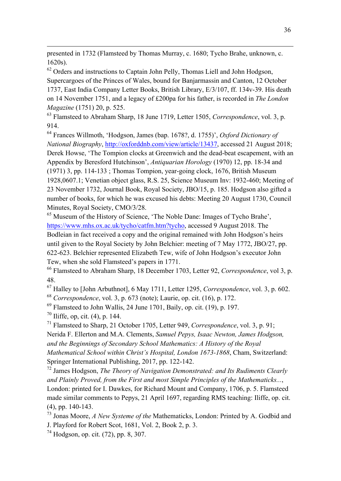presented in 1732 (Flamsteed by Thomas Murray, c. 1680; Tycho Brahe, unknown, c. 1620s).

<u> 1989 - Andrea Station Barbara, actor a component de la componentación de la componentación de la componentaci</u>

 $62$  Orders and instructions to Captain John Pelly, Thomas Liell and John Hodgson, Supercargoes of the Princes of Wales, bound for Banjarmassin and Canton, 12 October 1737, East India Company Letter Books, British Library, E/3/107, ff. 134v-39. His death on 14 November 1751, and a legacy of £200pa for his father, is recorded in *The London Magazine* (1751) 20, p. 525.

<sup>63</sup> Flamsteed to Abraham Sharp, 18 June 1719, Letter 1505, *Correspondence*, vol. 3, p. 914.

<sup>64</sup> Frances Willmoth, 'Hodgson, James (bap. 1678?, d. 1755)', *Oxford Dictionary of National Biography*, http://oxforddnb.com/view/article/13437, accessed 21 August 2018; Derek Howse, 'The Tompion clocks at Greenwich and the dead-beat escapement, with an Appendix by Beresford Hutchinson', *Antiquarian Horology* (1970) 12, pp. 18-34 and (1971) 3, pp. 114-133 ; Thomas Tompion, year-going clock, 1676, British Museum 1928,0607.1; Venetian object glass, R.S. 25, Science Museum Inv: 1932-460; Meeting of 23 November 1732, Journal Book, Royal Society, JBO/15, p. 185. Hodgson also gifted a number of books, for which he was excused his debts: Meeting 20 August 1730, Council Minutes, Royal Society, CMO/3/28.

<sup>65</sup> Museum of the History of Science, 'The Noble Dane: Images of Tycho Brahe', https://www.mhs.ox.ac.uk/tycho/catfm.htm?tycho, accessed 9 August 2018. The Bodleian in fact received a copy and the original remained with John Hodgson's heirs until given to the Royal Society by John Belchier: meeting of 7 May 1772, JBO/27, pp. 622-623. Belchier represented Elizabeth Tew, wife of John Hodgson's executor John Tew, when she sold Flamsteed's papers in 1771.

<sup>66</sup> Flamsteed to Abraham Sharp, 18 December 1703, Letter 92, *Correspondence*, vol 3, p. 48.

<sup>67</sup> Halley to [John Arbuthnot], 6 May 1711, Letter 1295, *Correspondence*, vol. 3, p. 602. <sup>68</sup> *Correspondence*, vol. 3, p. 673 (note); Laurie, op. cit. (16), p. 172.

 $^{69}$  Flamsteed to John Wallis, 24 June 1701, Baily, op. cit. (19), p. 197.

 $70$  Iliffe, op, cit. (4), p. 144.

<sup>71</sup> Flamsteed to Sharp, 21 October 1705, Letter 949, *Correspondence*, vol. 3, p. 91; Nerida F. Ellerton and M.A. Clements, *Samuel Pepys, Isaac Newton, James Hodgson, and the Beginnings of Secondary School Mathematics: A History of the Royal Mathematical School within Christ's Hospital, London 1673-1868*, Cham, Switzerland: Springer International Publishing, 2017, pp. 122-142.

<sup>72</sup> James Hodgson, *The Theory of Navigation Demonstrated: and Its Rudiments Clearly and Plainly Proved, from the First and most Simple Principles of the Mathematicks...*, London: printed for I. Dawkes, for Richard Mount and Company, 1706, p. 5. Flamsteed made similar comments to Pepys, 21 April 1697, regarding RMS teaching: Iliffe, op. cit. (4), pp. 140-143.

<sup>73</sup> Jonas Moore, *A New Systeme of the* Mathematicks, London: Printed by A. Godbid and J. Playford for Robert Scot, 1681, Vol. 2, Book 2, p. 3.

 $^{74}$  Hodgson, op. cit. (72), pp. 8, 307.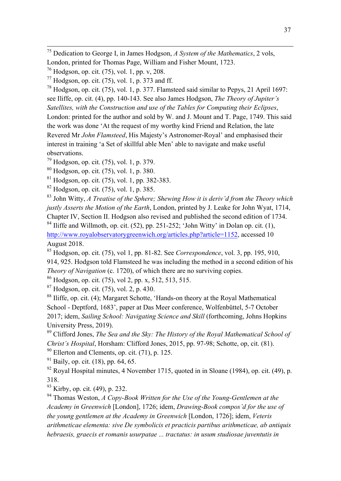<sup>75</sup> Dedication to George I, in James Hodgson, *A System of the Mathematics*, 2 vols, London, printed for Thomas Page, William and Fisher Mount, 1723.

<u> 1989 - Andrea Station Barbara, actor a component de la componentación de la componentación de la componentaci</u>

 $^{77}$  Hodgson, op. cit. (75), vol. 1, p. 373 and ff.

<sup>78</sup> Hodgson, op. cit. (75), vol. 1, p. 377. Flamsteed said similar to Pepys, 21 April 1697: see Iliffe, op. cit. (4), pp. 140-143. See also James Hodgson, *The Theory of Jupiter's Satellites, with the Construction and use of the Tables for Computing their Eclipses*, London: printed for the author and sold by W. and J. Mount and T. Page, 1749. This said the work was done 'At the request of my worthy kind Friend and Relation, the late Revered Mr *John Flamsteed*, His Majesty's Astronomer-Royal' and emphasised their interest in training 'a Set of skillful able Men' able to navigate and make useful observations.

 $^{79}$  Hodgson, op. cit. (75), vol. 1, p. 379.

<sup>80</sup> Hodgson, op. cit. (75), vol. 1, p. 380.

<sup>81</sup> Hodgson, op. cit. (75), vol. 1, pp. 382-383.

 $82$  Hodgson, op. cit. (75), vol. 1, p. 385.

<sup>83</sup> John Witty, *A Treatise of the Sphere; Shewing How it is deriv'd from the Theory which justly Asserts the Motion of the Earth*, London, printed by J. Leake for John Wyat, 1714, Chapter IV, Section II. Hodgson also revised and published the second edition of 1734.

 $84$  Iliffe and Willmoth, op. cit. (52), pp. 251-252; 'John Witty' in Dolan op. cit. (1), http://www.royalobservatorygreenwich.org/articles.php?article=1152, accessed 10 August 2018.

<sup>85</sup> Hodgson, op. cit. (75), vol 1, pp. 81-82. See *Correspondence*, vol. 3, pp. 195, 910, 914, 925. Hodgson told Flamsteed he was including the method in a second edition of his *Theory of Navigation* (c. 1720), of which there are no surviving copies.

<sup>86</sup> Hodgson, op. cit. (75), vol 2, pp. x, 512, 513, 515.

 $87$  Hodgson, op. cit. (75), vol. 2, p. 430.

<sup>88</sup> Iliffe, op. cit. (4); Margaret Schotte, 'Hands-on theory at the Royal Mathematical School - Deptford, 1683', paper at Das Meer conference, Wolfenbüttel, 5-7 October 2017; idem, *Sailing School: Navigating Science and Skill* (forthcoming, Johns Hopkins University Press, 2019).

<sup>89</sup> Clifford Jones, *The Sea and the Sky: The History of the Royal Mathematical School of Christ's Hospital*, Horsham: Clifford Jones, 2015, pp. 97-98; Schotte, op, cit. (81).  $90$  Ellerton and Clements, op. cit. (71), p. 125.

 $91$  Baily, op. cit. (18), pp. 64, 65.

 $\frac{92}{92}$  Royal Hospital minutes, 4 November 1715, quoted in in Sloane (1984), op. cit. (49), p. 318.

<sup>93</sup> Kirby, op. cit. (49), p. 232.

<sup>94</sup> Thomas Weston, *A Copy-Book Written for the Use of the Young-Gentlemen at the Academy in Greenwich* [London], 1726; idem, *Drawing-Book compos'd for the use of the young gentlemen at the Academy in Greenwich* [London, 1726]; idem, *Veteris arithmeticae elementa: sive De symbolicis et practicis partibus arithmeticae, ab antiquis hebraesis, graecis et romanis usurpatae ... tractatus: in usum studiosae juventutis in* 

<sup>76</sup> Hodgson, op. cit. (75), vol. 1, pp. v, 208.